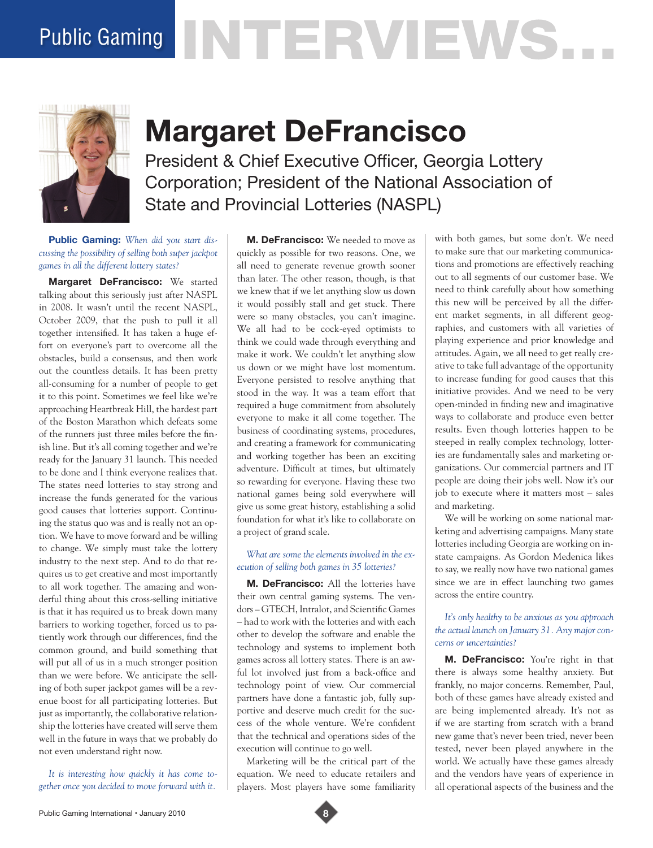# Public Gaming NTERVIEWS.



# **Margaret DeFrancisco**

President & Chief Executive Officer, Georgia Lottery Corporation; President of the National Association of State and Provincial Lotteries (NASPL)

**Public Gaming:** *When did you start discussing the possibility of selling both super jackpot games in all the different lottery states?*

**Margaret DeFrancisco:** We started talking about this seriously just after NASPL in 2008. It wasn't until the recent NASPL, October 2009, that the push to pull it all together intensified. It has taken a huge effort on everyone's part to overcome all the obstacles, build a consensus, and then work out the countless details. It has been pretty all-consuming for a number of people to get it to this point. Sometimes we feel like we're approaching Heartbreak Hill, the hardest part of the Boston Marathon which defeats some of the runners just three miles before the finish line. But it's all coming together and we're ready for the January 31 launch. This needed to be done and I think everyone realizes that. The states need lotteries to stay strong and increase the funds generated for the various good causes that lotteries support. Continuing the status quo was and is really not an option. We have to move forward and be willing to change. We simply must take the lottery industry to the next step. And to do that requires us to get creative and most importantly to all work together. The amazing and wonderful thing about this cross-selling initiative is that it has required us to break down many barriers to working together, forced us to patiently work through our differences, find the common ground, and build something that will put all of us in a much stronger position than we were before. We anticipate the selling of both super jackpot games will be a revenue boost for all participating lotteries. But just as importantly, the collaborative relationship the lotteries have created will serve them well in the future in ways that we probably do not even understand right now.

*It is interesting how quickly it has come together once you decided to move forward with it.* 

**M. DeFrancisco:** We needed to move as quickly as possible for two reasons. One, we all need to generate revenue growth sooner than later. The other reason, though, is that we knew that if we let anything slow us down it would possibly stall and get stuck. There were so many obstacles, you can't imagine. We all had to be cock-eyed optimists to think we could wade through everything and make it work. We couldn't let anything slow us down or we might have lost momentum. Everyone persisted to resolve anything that stood in the way. It was a team effort that required a huge commitment from absolutely everyone to make it all come together. The business of coordinating systems, procedures, and creating a framework for communicating and working together has been an exciting adventure. Difficult at times, but ultimately so rewarding for everyone. Having these two national games being sold everywhere will give us some great history, establishing a solid foundation for what it's like to collaborate on a project of grand scale.

# *What are some the elements involved in the execution of selling both games in 35 lotteries?*

**M. DeFrancisco:** All the lotteries have their own central gaming systems. The vendors – GTECH, Intralot, and Scientific Games – had to work with the lotteries and with each other to develop the software and enable the technology and systems to implement both games across all lottery states. There is an awful lot involved just from a back-office and technology point of view. Our commercial partners have done a fantastic job, fully supportive and deserve much credit for the success of the whole venture. We're confident that the technical and operations sides of the execution will continue to go well.

Marketing will be the critical part of the equation. We need to educate retailers and players. Most players have some familiarity

with both games, but some don't. We need to make sure that our marketing communications and promotions are effectively reaching out to all segments of our customer base. We need to think carefully about how something this new will be perceived by all the different market segments, in all different geographies, and customers with all varieties of playing experience and prior knowledge and attitudes. Again, we all need to get really creative to take full advantage of the opportunity to increase funding for good causes that this initiative provides. And we need to be very open-minded in finding new and imaginative ways to collaborate and produce even better results. Even though lotteries happen to be steeped in really complex technology, lotteries are fundamentally sales and marketing organizations. Our commercial partners and IT people are doing their jobs well. Now it's our job to execute where it matters most – sales and marketing.

We will be working on some national marketing and advertising campaigns. Many state lotteries including Georgia are working on instate campaigns. As Gordon Medenica likes to say, we really now have two national games since we are in effect launching two games across the entire country.

# *It's only healthy to be anxious as you approach the actual launch on January 31. Any major concerns or uncertainties?*

**M. DeFrancisco:** You're right in that there is always some healthy anxiety. But frankly, no major concerns. Remember, Paul, both of these games have already existed and are being implemented already. It's not as if we are starting from scratch with a brand new game that's never been tried, never been tested, never been played anywhere in the world. We actually have these games already and the vendors have years of experience in all operational aspects of the business and the

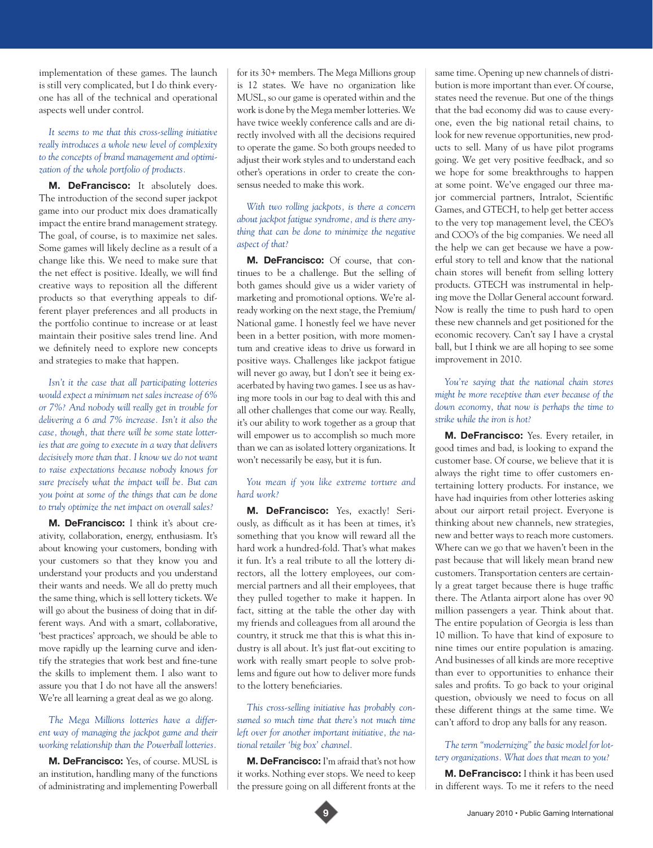implementation of these games. The launch is still very complicated, but I do think everyone has all of the technical and operational aspects well under control.

#### *It seems to me that this cross-selling initiative really introduces a whole new level of complexity to the concepts of brand management and optimization of the whole portfolio of products.*

**M. DeFrancisco:** It absolutely does. The introduction of the second super jackpot game into our product mix does dramatically impact the entire brand management strategy. The goal, of course, is to maximize net sales. Some games will likely decline as a result of a change like this. We need to make sure that the net effect is positive. Ideally, we will find creative ways to reposition all the different products so that everything appeals to different player preferences and all products in the portfolio continue to increase or at least maintain their positive sales trend line. And we definitely need to explore new concepts and strategies to make that happen.

*Isn't it the case that all participating lotteries would expect a minimum net sales increase of 6% or 7%? And nobody will really get in trouble for delivering a 6 and 7% increase. Isn't it also the case, though, that there will be some state lotteries that are going to execute in a way that delivers decisively more than that. I know we do not want to raise expectations because nobody knows for sure precisely what the impact will be. But can you point at some of the things that can be done to truly optimize the net impact on overall sales?* 

**M. DeFrancisco:** I think it's about creativity, collaboration, energy, enthusiasm. It's about knowing your customers, bonding with your customers so that they know you and understand your products and you understand their wants and needs. We all do pretty much the same thing, which is sell lottery tickets. We will go about the business of doing that in different ways. And with a smart, collaborative, 'best practices' approach, we should be able to move rapidly up the learning curve and identify the strategies that work best and fine-tune the skills to implement them. I also want to assure you that I do not have all the answers! We're all learning a great deal as we go along.

### *The Mega Millions lotteries have a different way of managing the jackpot game and their working relationship than the Powerball lotteries.*

**M. DeFrancisco:** Yes, of course. MUSL is an institution, handling many of the functions of administrating and implementing Powerball for its 30+ members. The Mega Millions group is 12 states. We have no organization like MUSL, so our game is operated within and the work is done by the Mega member lotteries. We have twice weekly conference calls and are directly involved with all the decisions required to operate the game. So both groups needed to adjust their work styles and to understand each other's operations in order to create the consensus needed to make this work.

# *With two rolling jackpots, is there a concern about jackpot fatigue syndrome, and is there anything that can be done to minimize the negative aspect of that?*

**M. DeFrancisco:** Of course, that continues to be a challenge. But the selling of both games should give us a wider variety of marketing and promotional options. We're already working on the next stage, the Premium/ National game. I honestly feel we have never been in a better position, with more momentum and creative ideas to drive us forward in positive ways. Challenges like jackpot fatigue will never go away, but I don't see it being exacerbated by having two games. I see us as having more tools in our bag to deal with this and all other challenges that come our way. Really, it's our ability to work together as a group that will empower us to accomplish so much more than we can as isolated lottery organizations. It won't necessarily be easy, but it is fun.

#### *You mean if you like extreme torture and hard work?*

**M. DeFrancisco:** Yes, exactly! Seriously, as difficult as it has been at times, it's something that you know will reward all the hard work a hundred-fold. That's what makes it fun. It's a real tribute to all the lottery directors, all the lottery employees, our commercial partners and all their employees, that they pulled together to make it happen. In fact, sitting at the table the other day with my friends and colleagues from all around the country, it struck me that this is what this industry is all about. It's just flat-out exciting to work with really smart people to solve problems and figure out how to deliver more funds to the lottery beneficiaries.

# *This cross-selling initiative has probably consumed so much time that there's not much time left over for another important initiative, the national retailer 'big box' channel.*

**M. DeFrancisco:** I'm afraid that's not how it works. Nothing ever stops. We need to keep the pressure going on all different fronts at the

same time. Opening up new channels of distribution is more important than ever. Of course, states need the revenue. But one of the things that the bad economy did was to cause everyone, even the big national retail chains, to look for new revenue opportunities, new products to sell. Many of us have pilot programs going. We get very positive feedback, and so we hope for some breakthroughs to happen at some point. We've engaged our three major commercial partners, Intralot, Scientific Games, and GTECH, to help get better access to the very top management level, the CEO's and COO's of the big companies. We need all the help we can get because we have a powerful story to tell and know that the national chain stores will benefit from selling lottery products. GTECH was instrumental in helping move the Dollar General account forward. Now is really the time to push hard to open these new channels and get positioned for the economic recovery. Can't say I have a crystal ball, but I think we are all hoping to see some improvement in 2010.

*You're saying that the national chain stores might be more receptive than ever because of the down economy, that now is perhaps the time to strike while the iron is hot?* 

**M. DeFrancisco:** Yes. Every retailer, in good times and bad, is looking to expand the customer base. Of course, we believe that it is always the right time to offer customers entertaining lottery products. For instance, we have had inquiries from other lotteries asking about our airport retail project. Everyone is thinking about new channels, new strategies, new and better ways to reach more customers. Where can we go that we haven't been in the past because that will likely mean brand new customers. Transportation centers are certainly a great target because there is huge traffic there. The Atlanta airport alone has over 90 million passengers a year. Think about that. The entire population of Georgia is less than 10 million. To have that kind of exposure to nine times our entire population is amazing. And businesses of all kinds are more receptive than ever to opportunities to enhance their sales and profits. To go back to your original question, obviously we need to focus on all these different things at the same time. We can't afford to drop any balls for any reason.

### *The term "modernizing" the basic model for lottery organizations. What does that mean to you?*

**M. DeFrancisco:** I think it has been used in different ways. To me it refers to the need